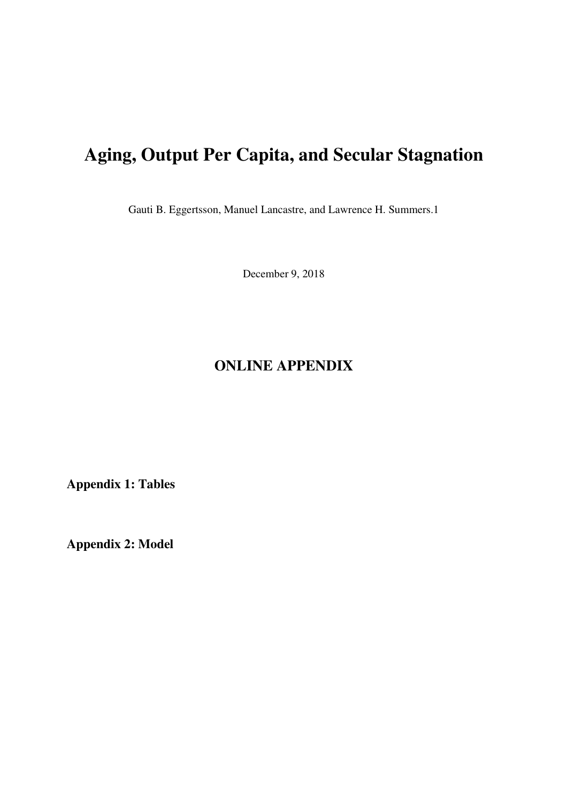# **Aging, Output Per Capita, and Secular Stagnation**

Gauti B. Eggertsson, Manuel Lancastre, and Lawrence H. Summers.1

December 9, 2018

## **ONLINE APPENDIX**

**Appendix 1: Tables** 

**Appendix 2: Model**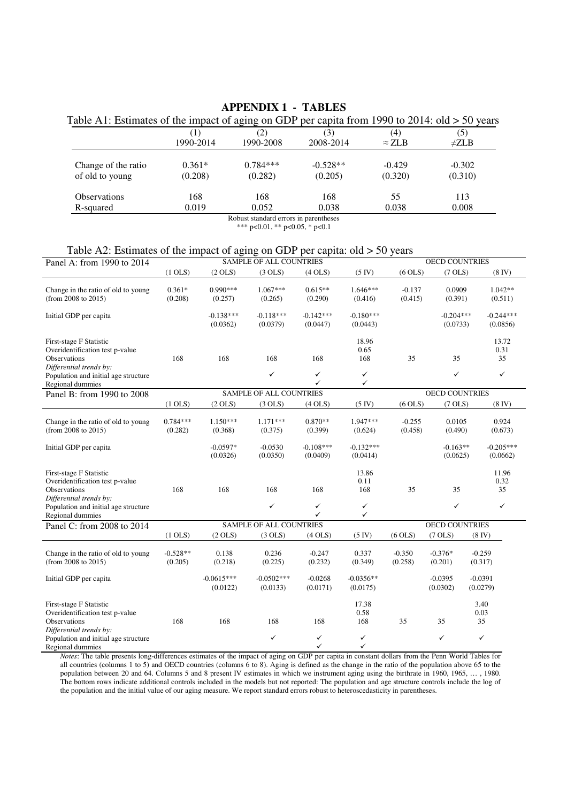#### **APPENDIX 1 - TABLES**

| Table A1: Estimates of the impact of aging on GDP per capita from 1990 to 2014: old $> 50$ years |           |            |            |               |            |  |  |  |
|--------------------------------------------------------------------------------------------------|-----------|------------|------------|---------------|------------|--|--|--|
|                                                                                                  | $\Box$    | (2)        | (3)        | (4)           | (5)        |  |  |  |
|                                                                                                  | 1990-2014 | 1990-2008  | 2008-2014  | $\approx$ ZLB | $\neq$ ZLB |  |  |  |
| Change of the ratio                                                                              | $0.361*$  | $0.784***$ | $-0.528**$ | $-0.429$      | $-0.302$   |  |  |  |
| of old to young                                                                                  | (0.208)   | (0.282)    | (0.205)    | (0.320)       | (0.310)    |  |  |  |
| <b>Observations</b>                                                                              | 168       | 168        | 168        | 55            | 113        |  |  |  |
| R-squared                                                                                        | 0.019     | 0.052      | 0.038      | 0.038         | 0.008      |  |  |  |
| Robust standard errors in parentheses                                                            |           |            |            |               |            |  |  |  |

\*\*\* p<0.01, \*\* p<0.05, \* p<0.1

#### Table A2: Estimates of the impact of aging on GDP per capita: old > 50 years

| Panel A: from 1990 to 2014                                                                                                                           |                       |                          | SAMPLE OF ALL COUNTRIES  |                         |                                      |                     | OECD COUNTRIES          |                          |
|------------------------------------------------------------------------------------------------------------------------------------------------------|-----------------------|--------------------------|--------------------------|-------------------------|--------------------------------------|---------------------|-------------------------|--------------------------|
|                                                                                                                                                      | $(1$ OLS $)$          | (2 OLS)                  | (3 OLS)                  | (4 OLS)                 | $(5 \text{ IV})$                     | $(6$ OLS $)$        | $(7$ OLS)               | $(8 \text{ IV})$         |
| Change in the ratio of old to young<br>(from 2008 to 2015)                                                                                           | $0.361*$<br>(0.208)   | $0.990***$<br>(0.257)    | 1.067***<br>(0.265)      | $0.615**$<br>(0.290)    | $1.646***$<br>(0.416)                | $-0.137$<br>(0.415) | 0.0909<br>(0.391)       | $1.042**$<br>(0.511)     |
| Initial GDP per capita                                                                                                                               |                       | $-0.138***$<br>(0.0362)  | $-0.118***$<br>(0.0379)  | $-0.142***$<br>(0.0447) | $-0.180***$<br>(0.0443)              |                     | $-0.204***$<br>(0.0733) | $-0.244***$<br>(0.0856)  |
| First-stage F Statistic<br>Overidentification test p-value<br><b>Observations</b><br>Differential trends by:<br>Population and initial age structure | 168                   | 168                      | 168<br>✓                 | 168<br>$\checkmark$     | 18.96<br>0.65<br>168<br>$\checkmark$ | 35                  | 35<br>✓                 | 13.72<br>0.31<br>35<br>✓ |
| Regional dummies                                                                                                                                     |                       |                          |                          | ✓                       | ✓                                    |                     |                         |                          |
| Panel B: from 1990 to 2008                                                                                                                           |                       |                          | SAMPLE OF ALL COUNTRIES  |                         |                                      |                     | <b>OECD COUNTRIES</b>   |                          |
|                                                                                                                                                      | (1 OLS)               | (2 OLS)                  | (3 OLS)                  | $(4$ OLS $)$            | $(5 \text{ IV})$                     | (6 OLS)             | $(7$ OLS)               | $(8 \text{ IV})$         |
| Change in the ratio of old to young<br>(from 2008 to 2015)                                                                                           | $0.784***$<br>(0.282) | $1.150***$<br>(0.368)    | $1.171***$<br>(0.375)    | $0.870**$<br>(0.399)    | $1.947***$<br>(0.624)                | $-0.255$<br>(0.458) | 0.0105<br>(0.490)       | 0.924<br>(0.673)         |
| Initial GDP per capita                                                                                                                               |                       | $-0.0597*$<br>(0.0326)   | $-0.0530$<br>(0.0350)    | $-0.108***$<br>(0.0409) | $-0.132***$<br>(0.0414)              |                     | $-0.163**$<br>(0.0625)  | $-0.205***$<br>(0.0662)  |
| First-stage F Statistic<br>Overidentification test p-value<br>Observations<br>Differential trends by:                                                | 168                   | 168                      | 168                      | 168                     | 13.86<br>0.11<br>168                 | 35                  | 35                      | 11.96<br>0.32<br>35      |
| Population and initial age structure                                                                                                                 |                       |                          | $\checkmark$             | $\checkmark$            | $\checkmark$                         |                     | ✓                       | $\checkmark$             |
| Regional dummies                                                                                                                                     |                       |                          | SAMPLE OF ALL COUNTRIES  | ✓                       | ✓                                    |                     | <b>OECD COUNTRIES</b>   |                          |
| Panel C: from 2008 to 2014                                                                                                                           |                       |                          |                          |                         |                                      |                     |                         |                          |
|                                                                                                                                                      | (1 OLS)               | (2 OLS)                  | (3 OLS)                  | $(4$ OLS $)$            | $(5 \text{ IV})$                     | (6 OLS)             | $(7$ OLS)               | $(8 \text{ IV})$         |
| Change in the ratio of old to young<br>(from 2008 to 2015)                                                                                           | $-0.528**$<br>(0.205) | 0.138<br>(0.218)         | 0.236<br>(0.225)         | $-0.247$<br>(0.232)     | 0.337<br>(0.349)                     | $-0.350$<br>(0.258) | $-0.376*$<br>(0.201)    | $-0.259$<br>(0.317)      |
| Initial GDP per capita                                                                                                                               |                       | $-0.0615***$<br>(0.0122) | $-0.0502***$<br>(0.0133) | $-0.0268$<br>(0.0171)   | $-0.0356**$<br>(0.0175)              |                     | $-0.0395$<br>(0.0302)   | $-0.0391$<br>(0.0279)    |
| First-stage F Statistic<br>Overidentification test p-value<br>Observations<br>Differential trends by:                                                | 168                   | 168                      | 168                      | 168                     | 17.38<br>0.58<br>168                 | 35                  | 35                      | 3.40<br>0.03<br>35       |
| Population and initial age structure<br>Regional dummies                                                                                             |                       |                          | ✓                        | ✓<br>✓                  | ✓<br>$\checkmark$                    |                     | ✓                       | ✓                        |

*Notes*: The table presents long-differences estimates of the impact of aging on GDP per capita in constant dollars from the Penn World Tables for all countries (columns 1 to 5) and OECD countries (columns 6 to 8). Aging is defined as the change in the ratio of the population above 65 to the population between 20 and 64. Columns 5 and 8 present IV estimates in which we instrument aging using the birthrate in 1960, 1965, … , 1980. The bottom rows indicate additional controls included in the models but not reported: The population and age structure controls include the log of the population and the initial value of our aging measure. We report standard errors robust to heteroscedasticity in parentheses.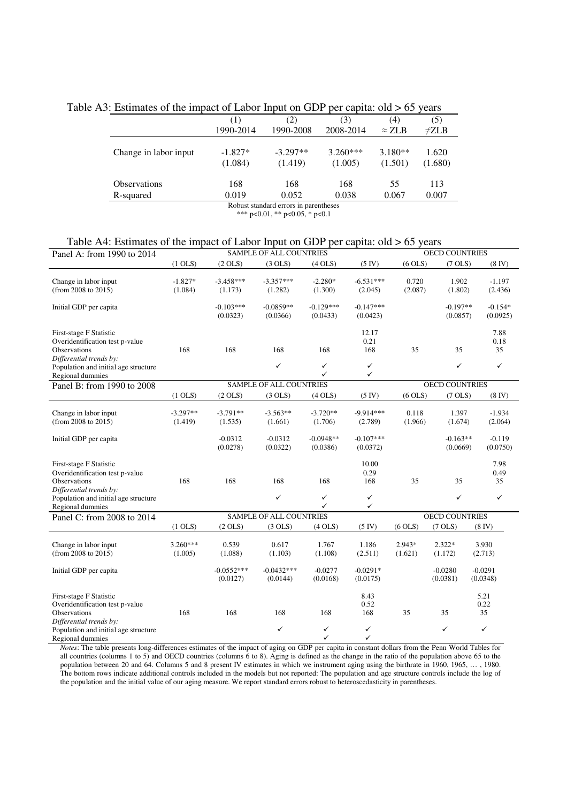Table A3: Estimates of the impact of Labor Input on GDP per capita: old > 65 years

|                                       | (1)                  | 2)                    | (3)                   | (4)                  | (5)              |  |  |  |  |
|---------------------------------------|----------------------|-----------------------|-----------------------|----------------------|------------------|--|--|--|--|
|                                       | 1990-2014            | 1990-2008             | 2008-2014             | $\approx$ ZLB        | $\neq$ ZLB       |  |  |  |  |
| Change in labor input                 | $-1.827*$<br>(1.084) | $-3.297**$<br>(1.419) | $3.260***$<br>(1.005) | $3.180**$<br>(1.501) | 1.620<br>(1.680) |  |  |  |  |
| <b>Observations</b>                   | 168                  | 168                   | 168                   | 55                   | 113              |  |  |  |  |
| R-squared                             | 0.019                | 0.052                 | 0.038                 | 0.067                | 0.007            |  |  |  |  |
| Robust standard errors in parentheses |                      |                       |                       |                      |                  |  |  |  |  |

\*\*\* p<0.01, \*\* p<0.05, \* p<0.1

#### Table A4: Estimates of the impact of Labor Input on GDP per capita: old > 65 years

| Panel A: from 1990 to 2014                                                                                   |                       |                          | SAMPLE OF ALL COUNTRIES  |                         |                         | OECD COUNTRIES    |                        |                       |
|--------------------------------------------------------------------------------------------------------------|-----------------------|--------------------------|--------------------------|-------------------------|-------------------------|-------------------|------------------------|-----------------------|
|                                                                                                              | (1 OLS)               | (2 OLS)                  | (3 OLS)                  | (4 OLS)                 | $(5 \text{ IV})$        | $(6$ OLS $)$      | $(7$ OLS $)$           | $(8 \text{ IV})$      |
| Change in labor input<br>(from 2008 to 2015)                                                                 | $-1.827*$<br>(1.084)  | $-3.458***$<br>(1.173)   | $-3.357***$<br>(1.282)   | $-2.280*$<br>(1.300)    | $-6.531***$<br>(2.045)  | 0.720<br>(2.087)  | 1.902<br>(1.802)       | $-1.197$<br>(2.436)   |
| Initial GDP per capita                                                                                       |                       | $-0.103***$<br>(0.0323)  | $-0.0859**$<br>(0.0366)  | $-0.129***$<br>(0.0433) | $-0.147***$<br>(0.0423) |                   | $-0.197**$<br>(0.0857) | $-0.154*$<br>(0.0925) |
| First-stage F Statistic<br>Overidentification test p-value<br>Observations<br>Differential trends by:        | 168                   | 168                      | 168                      | 168                     | 12.17<br>0.21<br>168    | 35                | 35                     | 7.88<br>0.18<br>35    |
| Population and initial age structure<br>Regional dummies                                                     |                       |                          | $\checkmark$             | ✓<br>✓                  | $\checkmark$<br>✓       |                   | $\checkmark$           | ✓                     |
| Panel B: from 1990 to 2008                                                                                   |                       |                          | SAMPLE OF ALL COUNTRIES  |                         |                         |                   | <b>OECD COUNTRIES</b>  |                       |
|                                                                                                              | (1 OLS)               | (2 OLS)                  | (3 OLS)                  | (4 OLS)                 | $(5 \text{ IV})$        | $(6$ OLS $)$      | $(7$ OLS $)$           | $(8 \text{ IV})$      |
| Change in labor input<br>(from 2008 to 2015)                                                                 | $-3.297**$<br>(1.419) | $-3.791**$<br>(1.535)    | $-3.563**$<br>(1.661)    | $-3.720**$<br>(1.706)   | $-9.914***$<br>(2.789)  | 0.118<br>(1.966)  | 1.397<br>(1.674)       | $-1.934$<br>(2.064)   |
| Initial GDP per capita                                                                                       |                       | $-0.0312$<br>(0.0278)    | $-0.0312$<br>(0.0322)    | $-0.0948**$<br>(0.0386) | $-0.107***$<br>(0.0372) |                   | $-0.163**$<br>(0.0669) | $-0.119$<br>(0.0750)  |
| First-stage F Statistic<br>Overidentification test p-value<br><b>Observations</b><br>Differential trends by: | 168                   | 168                      | 168                      | 168                     | 10.00<br>0.29<br>168    | 35                | 35                     | 7.98<br>0.49<br>35    |
| Population and initial age structure<br>Regional dummies                                                     |                       |                          | ✓                        | ✓<br>✓                  | $\checkmark$<br>✓       |                   | $\checkmark$           | ✓                     |
| Panel C: from 2008 to 2014                                                                                   |                       |                          | SAMPLE OF ALL COUNTRIES  |                         |                         |                   | <b>OECD COUNTRIES</b>  |                       |
|                                                                                                              | $(1$ OLS $)$          | (2 OLS)                  | (3 OLS)                  | (4 OLS)                 | $(5 \text{ IV})$        | (6 OLS)           | $(7$ OLS)              | $(8 \text{ IV})$      |
| Change in labor input<br>(from 2008 to 2015)                                                                 | $3.260***$<br>(1.005) | 0.539<br>(1.088)         | 0.617<br>(1.103)         | 1.767<br>(1.108)        | 1.186<br>(2.511)        | 2.943*<br>(1.621) | $2.322*$<br>(1.172)    | 3.930<br>(2.713)      |
| Initial GDP per capita                                                                                       |                       | $-0.0552***$<br>(0.0127) | $-0.0432***$<br>(0.0144) | $-0.0277$<br>(0.0168)   | $-0.0291*$<br>(0.0175)  |                   | $-0.0280$<br>(0.0381)  | $-0.0291$<br>(0.0348) |
| First-stage F Statistic<br>Overidentification test p-value<br><b>Observations</b><br>Differential trends by: | 168                   | 168                      | 168                      | 168                     | 8.43<br>0.52<br>168     | 35                | 35                     | 5.21<br>0.22<br>35    |
| Population and initial age structure<br>Regional dummies                                                     |                       |                          | ✓                        | ✓<br>✓                  | ✓<br>$\checkmark$       |                   | ✓                      | ✓                     |

*Notes*: The table presents long-differences estimates of the impact of aging on GDP per capita in constant dollars from the Penn World Tables for all countries (columns 1 to 5) and OECD countries (columns 6 to 8). Aging is defined as the change in the ratio of the population above 65 to the population between 20 and 64. Columns 5 and 8 present IV estimates in which we instrument aging using the birthrate in 1960, 1965, … , 1980. The bottom rows indicate additional controls included in the models but not reported: The population and age structure controls include the log of the population and the initial value of our aging measure. We report standard errors robust to heteroscedasticity in parentheses.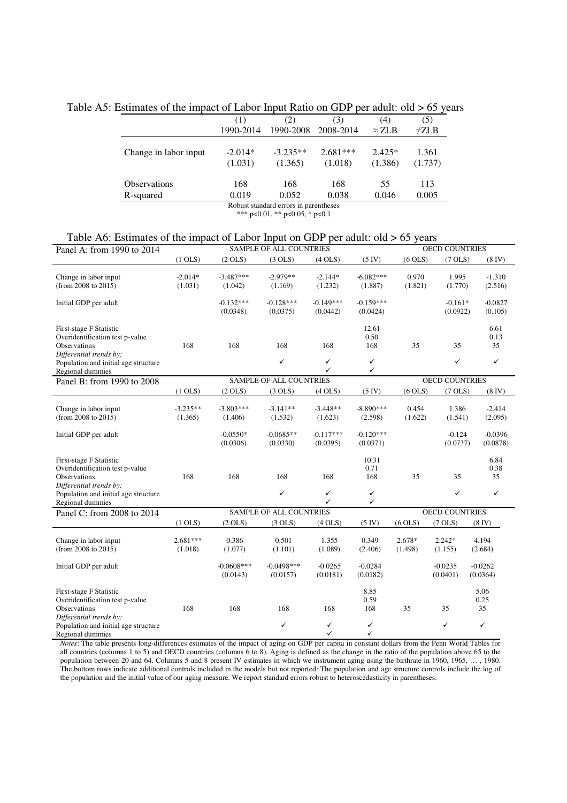Table A5: Estimates of the impact of Labor Input Ratio on GDP per adult: old > 65 years

|                                       | $\left(1\right)$     | (2)                   | (3)                   | (4)                 | (5)              |  |  |  |
|---------------------------------------|----------------------|-----------------------|-----------------------|---------------------|------------------|--|--|--|
|                                       | 1990-2014            | 1990-2008             | 2008-2014             | $\approx$ ZLB       | $\neq$ ZLB       |  |  |  |
| Change in labor input                 | $-2.014*$<br>(1.031) | $-3.235**$<br>(1.365) | $2.681***$<br>(1.018) | $2.425*$<br>(1.386) | 1.361<br>(1.737) |  |  |  |
| <b>Observations</b><br>R-squared      | 168<br>0.019         | 168<br>0.052          | 168<br>0.038          | 55<br>0.046         | 113<br>0.005     |  |  |  |
| Robust standard errors in parentheses |                      |                       |                       |                     |                  |  |  |  |

\*\*\* p<0.01, \*\* p<0.05, \* p<0.1

## Table A6: Estimates of the impact of Labor Input on GDP per adult: old > 65 years

| Panel A: from 1990 to 2014                                                                                                                                        | <b>SAMPLE OF ALL COUNTRIES</b> |                          |                                |                          |                                           | <b>OECD COUNTRIES</b> |                       |                                    |
|-------------------------------------------------------------------------------------------------------------------------------------------------------------------|--------------------------------|--------------------------|--------------------------------|--------------------------|-------------------------------------------|-----------------------|-----------------------|------------------------------------|
|                                                                                                                                                                   | $(1$ OLS $)$                   | (2 OLS)                  | (3 OLS)                        | (4 OLS)                  | $(5 \text{ IV})$                          | (6 OLS)               | $(7$ OLS $)$          | (8 IV)                             |
| Change in labor input<br>(from 2008 to 2015)                                                                                                                      | $-2.014*$<br>(1.031)           | $-3.487***$<br>(1.042)   | $-2.979**$<br>(1.169)          | $-2.144*$<br>(1.232)     | $-6.082***$<br>(1.887)                    | 0.970<br>(1.821)      | 1.995<br>(1.770)      | $-1.310$<br>(2.516)                |
| Initial GDP per adult                                                                                                                                             |                                | $-0.132***$<br>(0.0348)  | $-0.128***$<br>(0.0375)        | $-0.149***$<br>(0.0442)  | $-0.159***$<br>(0.0424)                   |                       | $-0.161*$<br>(0.0922) | $-0.0827$<br>(0.105)               |
| First-stage F Statistic<br>Overidentification test p-value<br>Observations<br>Differential trends by:<br>Population and initial age structure                     | 168                            | 168                      | 168<br>✓                       | 168<br>✓<br>✓            | 12.61<br>0.50<br>168<br>$\checkmark$<br>✓ | 35                    | 35<br>✓               | 6.61<br>0.13<br>35<br>✓            |
| Regional dummies                                                                                                                                                  |                                |                          | SAMPLE OF ALL COUNTRIES        |                          |                                           |                       | <b>OECD COUNTRIES</b> |                                    |
| Panel B: from 1990 to 2008                                                                                                                                        | (1 OLS)                        | (2 OLS)                  | (3 OLS)                        | (4 OLS)                  | $(5 \text{ IV})$                          | $(6$ OLS $)$          | $(7$ OLS)             | (8 IV)                             |
| Change in labor input<br>(from 2008 to 2015)                                                                                                                      | $-3.235**$<br>(1.365)          | $-3.803***$<br>(1.406)   | $-3.141**$<br>(1.532)          | $-3.448**$<br>(1.623)    | $-8.890***$<br>(2.598)                    | 0.454<br>(1.622)      | 1.386<br>(1.541)      | $-2.414$<br>(2.095)                |
| Initial GDP per adult                                                                                                                                             |                                | $-0.0550*$<br>(0.0306)   | $-0.0685**$<br>(0.0330)        | $-0.117***$<br>(0.0395)  | $-0.120***$<br>(0.0371)                   |                       | $-0.124$<br>(0.0737)  | $-0.0396$<br>(0.0878)              |
| First-stage F Statistic<br>Overidentification test p-value<br>Observations<br>Differential trends by:<br>Population and initial age structure<br>Regional dummies | 168                            | 168                      | 168<br>$\checkmark$            | 168<br>$\checkmark$<br>✓ | 10.31<br>0.71<br>168<br>$\checkmark$<br>✓ | 35                    | 35<br>✓               | 6.84<br>0.38<br>35<br>$\checkmark$ |
| Panel C: from 2008 to 2014                                                                                                                                        |                                |                          | <b>SAMPLE OF ALL COUNTRIES</b> |                          |                                           |                       | <b>OECD COUNTRIES</b> |                                    |
|                                                                                                                                                                   | $(1$ OLS $)$                   | (2 OLS)                  | (3 OLS)                        | $(4$ OLS $)$             | $(5 \text{ IV})$                          | $(6$ OLS $)$          | $(7$ OLS)             | $(8 \text{ IV})$                   |
| Change in labor input<br>(from 2008 to 2015)                                                                                                                      | $2.681***$<br>(1.018)          | 0.386<br>(1.077)         | 0.501<br>(1.101)               | 1.355<br>(1.089)         | 0.349<br>(2.406)                          | 2.678*<br>(1.498)     | $2.242*$<br>(1.155)   | 4.194<br>(2.684)                   |
| Initial GDP per adult                                                                                                                                             |                                | $-0.0608***$<br>(0.0143) | $-0.0498***$<br>(0.0157)       | $-0.0265$<br>(0.0181)    | $-0.0284$<br>(0.0182)                     |                       | $-0.0235$<br>(0.0401) | $-0.0262$<br>(0.0364)              |
| First-stage F Statistic<br>Overidentification test p-value<br>Observations<br>Differential trends by:                                                             | 168                            | 168                      | 168                            | 168                      | 8.85<br>0.59<br>168                       | 35                    | 35                    | 5.06<br>0.25<br>35                 |
| Population and initial age structure<br>Regional dummies                                                                                                          |                                |                          | ✓                              | ✓<br>$\checkmark$        | ✓<br>✓                                    |                       | ✓                     | ✓                                  |

*Notes*: The table presents long-differences estimates of the impact of aging on GDP per capita in constant dollars from the Penn World Tables for all countries (columns 1 to 5) and OECD countries (columns 6 to 8). Aging is defined as the change in the ratio of the population above 65 to the population between 20 and 64. Columns 5 and 8 present IV estimates in which we instrument aging using the birthrate in 1960, 1965, … , 1980. The bottom rows indicate additional controls included in the models but not reported: The population and age structure controls include the log of the population and the initial value of our aging measure. We report standard errors robust to heteroscedasticity in parentheses.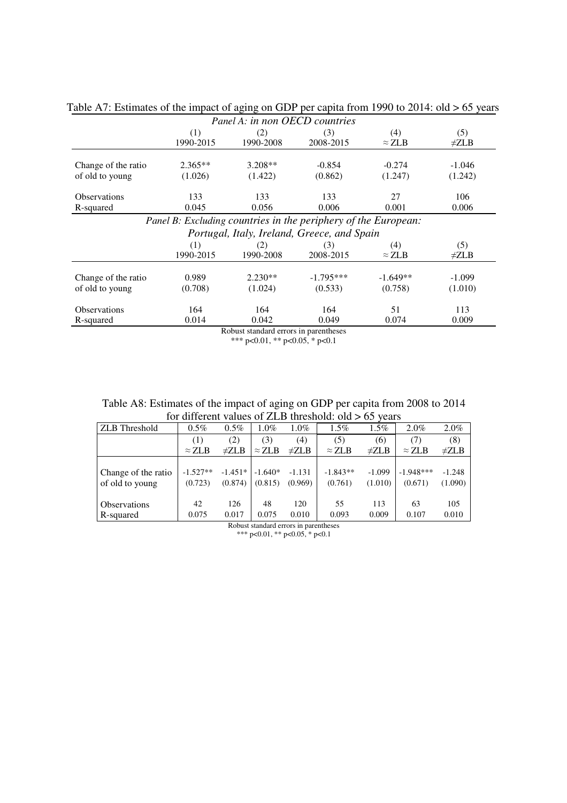| Panel A: in non OECD countries                                 |           |                                        |                                             |               |            |  |  |  |  |  |  |
|----------------------------------------------------------------|-----------|----------------------------------------|---------------------------------------------|---------------|------------|--|--|--|--|--|--|
|                                                                | (1)       | (2)                                    | (3)                                         | (4)           | (5)        |  |  |  |  |  |  |
|                                                                | 1990-2015 | 1990-2008                              | 2008-2015                                   | $\approx$ ZLB | $\neq$ ZLB |  |  |  |  |  |  |
|                                                                |           |                                        |                                             |               |            |  |  |  |  |  |  |
| Change of the ratio                                            | $2.365**$ | $3.208**$                              | $-0.854$                                    | $-0.274$      | $-1.046$   |  |  |  |  |  |  |
| of old to young                                                | (1.026)   | (1.422)                                | (0.862)                                     | (1.247)       | (1.242)    |  |  |  |  |  |  |
| <b>Observations</b>                                            | 133       | 133                                    | 133                                         | 27            | 106        |  |  |  |  |  |  |
| R-squared                                                      | 0.045     | 0.056                                  | 0.006                                       | 0.001         | 0.006      |  |  |  |  |  |  |
| Panel B: Excluding countries in the periphery of the European: |           |                                        |                                             |               |            |  |  |  |  |  |  |
|                                                                |           |                                        | Portugal, Italy, Ireland, Greece, and Spain |               |            |  |  |  |  |  |  |
|                                                                | (1)       | (2)                                    | (3)                                         | (4)           | (5)        |  |  |  |  |  |  |
|                                                                | 1990-2015 | 1990-2008                              | 2008-2015                                   | $\approx$ ZLB | $\neq$ ZLB |  |  |  |  |  |  |
|                                                                |           |                                        |                                             |               |            |  |  |  |  |  |  |
| Change of the ratio                                            | 0.989     | $2.230**$                              | $-1.795***$                                 | $-1.649**$    | $-1.099$   |  |  |  |  |  |  |
| of old to young                                                | (0.708)   | (1.024)                                | (0.533)                                     | (0.758)       | (1.010)    |  |  |  |  |  |  |
| <b>Observations</b>                                            | 164       | 164                                    | 164                                         | 51            | 113        |  |  |  |  |  |  |
| R-squared                                                      | 0.014     | 0.042                                  | 0.049                                       | 0.074         | 0.009      |  |  |  |  |  |  |
|                                                                |           | Robust standard errors in parentheses  |                                             |               |            |  |  |  |  |  |  |
|                                                                |           | *** $n<0.01$ . ** $n<0.05$ . * $n<0.1$ |                                             |               |            |  |  |  |  |  |  |

Table A7: Estimates of the impact of aging on GDP per capita from 1990 to 2014: old > 65 years

 $p<0.01$ , \*\*  $p<0.05$ , \*  $p<0.1$ 

| Table A8: Estimates of the impact of aging on GDP per capita from 2008 to 2014 |
|--------------------------------------------------------------------------------|
| for different values of ZLB threshold: $old > 65$ years                        |

| <b>ZLB</b> Threshold                  | $0.5\%$       | $0.5\%$    | $1.0\%$       | $1.0\%$    | $1.5\%$       | $1.5\%$    | $2.0\%$       | $2.0\%$    |  |
|---------------------------------------|---------------|------------|---------------|------------|---------------|------------|---------------|------------|--|
|                                       | (1)           | (2)        | (3)           | (4)        | (5)           | (6)        | (7)           | (8)        |  |
|                                       | $\approx$ ZLB | $\neq$ ZLB | $\approx$ ZLB | $\neq$ ZLB | $\approx$ ZLB | $\neq$ ZLB | $\approx$ ZLB | $\neq$ ZLB |  |
|                                       |               |            |               |            |               |            |               |            |  |
| Change of the ratio                   | $-1.527**$    | $-1.451*$  | $-1.640*$     | $-1.131$   | $-1.843**$    | $-1.099$   | $-1.948***$   | $-1.248$   |  |
| of old to young                       | (0.723)       | (0.874)    | (0.815)       | (0.969)    | (0.761)       | (1.010)    | (0.671)       | (1.090)    |  |
|                                       |               |            |               |            |               |            |               |            |  |
| <b>Observations</b>                   | 42            | 126        | 48            | 120        | 55            | 113        | 63            | 105        |  |
| R-squared                             | 0.075         | 0.017      | 0.075         | 0.010      | 0.093         | 0.009      | 0.107         | 0.010      |  |
| Robust standard errors in parentheses |               |            |               |            |               |            |               |            |  |

\*\*\* p<0.01, \*\* p<0.05, \* p<0.1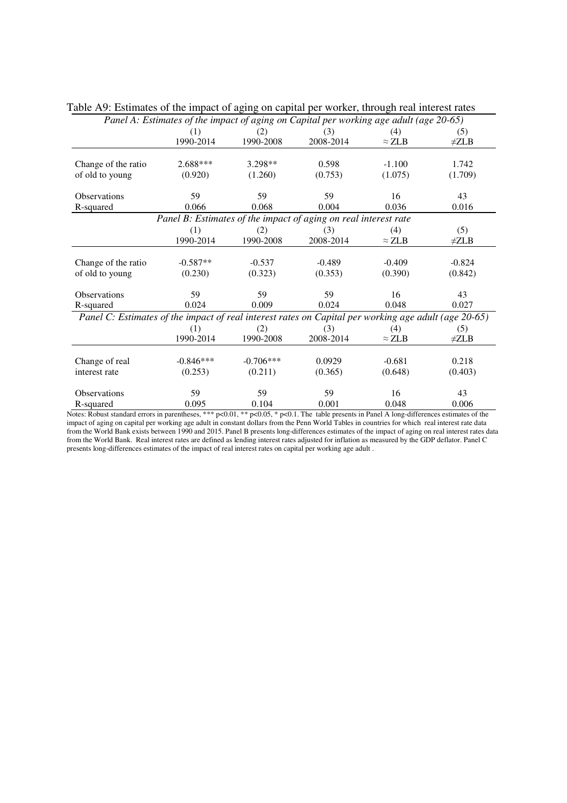| Panel A: Estimates of the impact of aging on Capital per working age adult (age 20-65)               |             |             |                                                                 |               |            |  |  |  |  |
|------------------------------------------------------------------------------------------------------|-------------|-------------|-----------------------------------------------------------------|---------------|------------|--|--|--|--|
|                                                                                                      | (1)         | (2)         | (3)                                                             | (4)           | (5)        |  |  |  |  |
|                                                                                                      | 1990-2014   | 1990-2008   | 2008-2014                                                       | $\approx$ ZLB | $\neq$ ZLB |  |  |  |  |
|                                                                                                      |             |             |                                                                 |               |            |  |  |  |  |
| Change of the ratio                                                                                  | 2.688***    | $3.298**$   | 0.598                                                           | $-1.100$      | 1.742      |  |  |  |  |
| of old to young                                                                                      | (0.920)     | (1.260)     | (0.753)                                                         | (1.075)       | (1.709)    |  |  |  |  |
|                                                                                                      |             |             |                                                                 |               |            |  |  |  |  |
| <b>Observations</b>                                                                                  | 59          | 59          | 59                                                              | 16            | 43         |  |  |  |  |
| R-squared                                                                                            | 0.066       | 0.068       | 0.004                                                           | 0.036         | 0.016      |  |  |  |  |
|                                                                                                      |             |             | Panel B: Estimates of the impact of aging on real interest rate |               |            |  |  |  |  |
|                                                                                                      | (1)         | (2)         | (3)                                                             | (4)           | (5)        |  |  |  |  |
|                                                                                                      | 1990-2014   | 1990-2008   | 2008-2014                                                       | $\approx$ ZLB | $\neq$ ZLB |  |  |  |  |
|                                                                                                      |             |             |                                                                 |               |            |  |  |  |  |
| Change of the ratio                                                                                  | $-0.587**$  | $-0.537$    | $-0.489$                                                        | $-0.409$      | $-0.824$   |  |  |  |  |
| of old to young                                                                                      | (0.230)     | (0.323)     | (0.353)                                                         | (0.390)       | (0.842)    |  |  |  |  |
|                                                                                                      |             |             |                                                                 |               |            |  |  |  |  |
| <b>Observations</b>                                                                                  | 59          | 59          | 59                                                              | 16            | 43         |  |  |  |  |
| R-squared                                                                                            | 0.024       | 0.009       | 0.024                                                           | 0.048         | 0.027      |  |  |  |  |
| Panel C: Estimates of the impact of real interest rates on Capital per working age adult (age 20-65) |             |             |                                                                 |               |            |  |  |  |  |
|                                                                                                      | (1)         | (2)         | (3)                                                             | (4)           | (5)        |  |  |  |  |
|                                                                                                      | 1990-2014   | 1990-2008   | 2008-2014                                                       | $\approx$ ZLB | $\neq$ ZLB |  |  |  |  |
|                                                                                                      |             |             |                                                                 |               |            |  |  |  |  |
| Change of real                                                                                       | $-0.846***$ | $-0.706***$ | 0.0929                                                          | $-0.681$      | 0.218      |  |  |  |  |
| interest rate                                                                                        | (0.253)     | (0.211)     | (0.365)                                                         | (0.648)       | (0.403)    |  |  |  |  |
|                                                                                                      |             |             |                                                                 |               |            |  |  |  |  |
| <b>Observations</b>                                                                                  | 59          | 59          | 59                                                              | 16            | 43         |  |  |  |  |
| R-squared                                                                                            | 0.095       | 0.104       | 0.001                                                           | 0.048         | 0.006      |  |  |  |  |

Table A9: Estimates of the impact of aging on capital per worker, through real interest rates

Notes: Robust standard errors in parentheses, \*\*\* p<0.01, \*\* p<0.05, \* p<0.1. The table presents in Panel A long-differences estimates of the impact of aging on capital per working age adult in constant dollars from the Penn World Tables in countries for which real interest rate data from the World Bank exists between 1990 and 2015. Panel B presents long-differences estimates of the impact of aging on real interest rates data from the World Bank. Real interest rates are defined as lending interest rates adjusted for inflation as measured by the GDP deflator. Panel C presents long-differences estimates of the impact of real interest rates on capital per working age adult .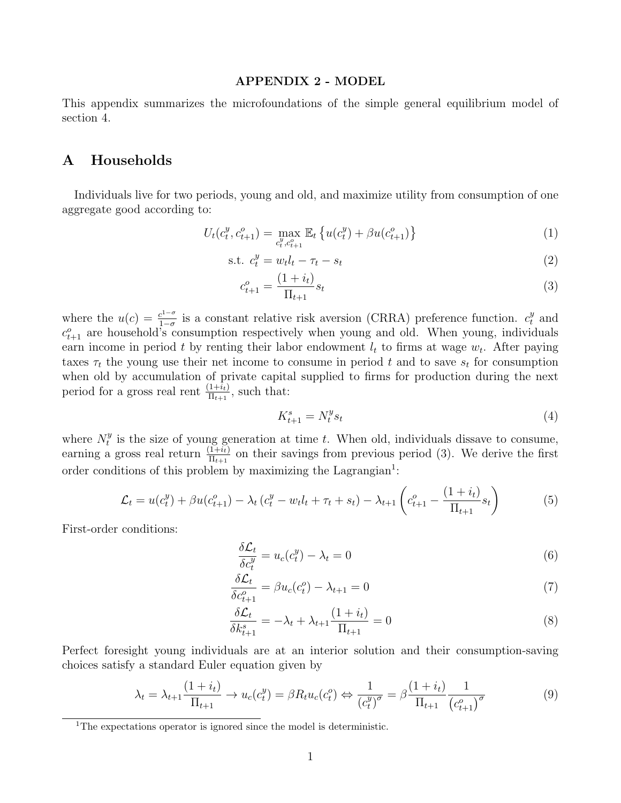#### APPENDIX 2 - MODEL

This appendix summarizes the microfoundations of the simple general equilibrium model of section 4.

### A Households

Individuals live for two periods, young and old, and maximize utility from consumption of one aggregate good according to:

$$
U_t(c_t^y, c_{t+1}^o) = \max_{c_t^y, c_{t+1}^o} \mathbb{E}_t \left\{ u(c_t^y) + \beta u(c_{t+1}^o) \right\} \tag{1}
$$

$$
s.t. \t c_t^y = w_t l_t - \tau_t - s_t \t\t(2)
$$

$$
c_{t+1}^{o} = \frac{(1+i_t)}{\Pi_{t+1}} s_t
$$
\n(3)

where the  $u(c) = \frac{c^{1-\sigma}}{1-\sigma}$  $\frac{c^{1-\sigma}}{1-\sigma}$  is a constant relative risk aversion (CRRA) preference function.  $c_t^y$  and  $c_{t+1}^o$  are household's consumption respectively when young and old. When young, individuals earn income in period t by renting their labor endowment  $l_t$  to firms at wage  $w_t$ . After paying taxes  $\tau_t$  the young use their net income to consume in period t and to save  $s_t$  for consumption when old by accumulation of private capital supplied to firms for production during the next period for a gross real rent  $\frac{(1+i_t)}{\Pi_{t+1}}$ , such that:

$$
K_{t+1}^s = N_t^y s_t \tag{4}
$$

where  $N_t^y$  $t<sup>y</sup>$  is the size of young generation at time t. When old, individuals dissave to consume, earning a gross real return  $\frac{(1+i_t)}{\Pi_{t+1}}$  on their savings from previous period (3). We derive the first order conditions of this problem by maximizing the Lagrangian<sup>1</sup>:

$$
\mathcal{L}_t = u(c_t^y) + \beta u(c_{t+1}^o) - \lambda_t (c_t^y - w_t l_t + \tau_t + s_t) - \lambda_{t+1} \left( c_{t+1}^o - \frac{(1+i_t)}{\Pi_{t+1}} s_t \right)
$$
(5)

First-order conditions:

$$
\frac{\delta \mathcal{L}_t}{\delta c_t^y} = u_c(c_t^y) - \lambda_t = 0 \tag{6}
$$

$$
\frac{\delta \mathcal{L}_t}{\delta c_{t+1}^o} = \beta u_c(c_t^o) - \lambda_{t+1} = 0 \tag{7}
$$

$$
\frac{\delta \mathcal{L}_t}{\delta k_{t+1}^s} = -\lambda_t + \lambda_{t+1} \frac{(1+i_t)}{\Pi_{t+1}} = 0
$$
\n(8)

Perfect foresight young individuals are at an interior solution and their consumption-saving choices satisfy a standard Euler equation given by

$$
\lambda_t = \lambda_{t+1} \frac{(1+i_t)}{\Pi_{t+1}} \to u_c(c_t^y) = \beta R_t u_c(c_t^o) \Leftrightarrow \frac{1}{(c_t^y)^\sigma} = \beta \frac{(1+i_t)}{\Pi_{t+1}} \frac{1}{(c_{t+1}^o)^\sigma}
$$
(9)

<sup>&</sup>lt;sup>1</sup>The expectations operator is ignored since the model is deterministic.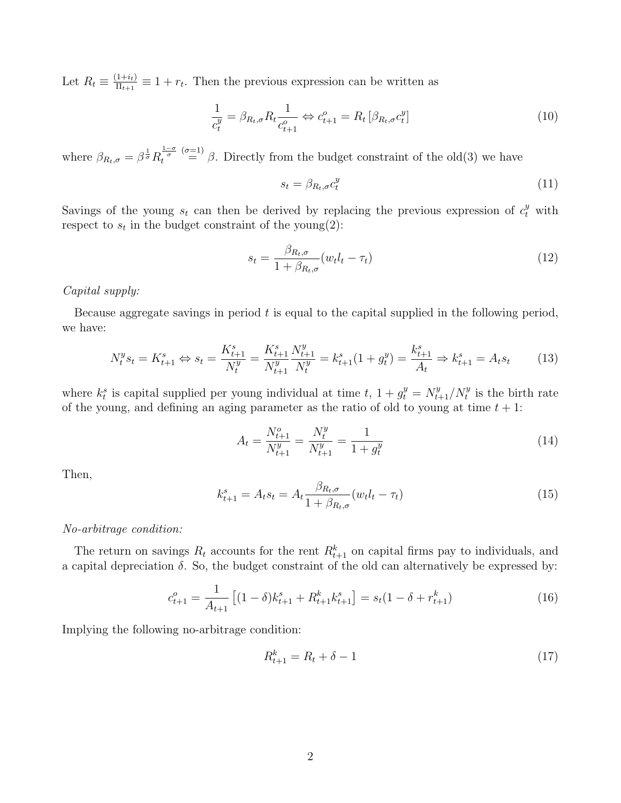Let  $R_t \equiv \frac{(1+i_t)}{\prod_{t\neq 1}}$  $\frac{1+it}{\Pi_{t+1}} \equiv 1 + r_t$ . Then the previous expression can be written as

$$
\frac{1}{c_t^y} = \beta_{R_t,\sigma} R_t \frac{1}{c_{t+1}^o} \Leftrightarrow c_{t+1}^o = R_t \left[ \beta_{R_t,\sigma} c_t^y \right]
$$
\n(10)

where  $\beta_{R_t,\sigma} = \beta^{\frac{1}{\sigma}} R_t^{\frac{1-\sigma}{\sigma}}$  $\begin{bmatrix} (\sigma=1) \\ = \end{bmatrix}$   $\beta$ . Directly from the budget constraint of the old(3) we have

$$
s_t = \beta_{R_t, \sigma} c_t^y \tag{11}
$$

Savings of the young  $s_t$  can then be derived by replacing the previous expression of  $c_t^y$  with respect to  $s_t$  in the budget constraint of the young(2):

$$
s_t = \frac{\beta_{R_t, \sigma}}{1 + \beta_{R_t, \sigma}} (w_t l_t - \tau_t)
$$
\n(12)

Capital supply:

Because aggregate savings in period  $t$  is equal to the capital supplied in the following period, we have:

$$
N_t^y s_t = K_{t+1}^s \Leftrightarrow s_t = \frac{K_{t+1}^s}{N_t^y} = \frac{K_{t+1}^s}{N_t^y} \frac{N_{t+1}^y}{N_t^y} = k_{t+1}^s (1 + g_t^y) = \frac{k_{t+1}^s}{A_t} \Rightarrow k_{t+1}^s = A_t s_t \tag{13}
$$

where  $k_t^s$  is capital supplied per young individual at time t,  $1 + g_t^y = N_{t+1}^y/N_t^y$  is the birth rate of the young, and defining an aging parameter as the ratio of old to young at time  $t + 1$ :

$$
A_t = \frac{N_{t+1}^o}{N_{t+1}^y} = \frac{N_t^y}{N_{t+1}^y} = \frac{1}{1 + g_t^y}
$$
\n(14)

Then,

$$
k_{t+1}^s = A_t s_t = A_t \frac{\beta_{R_t, \sigma}}{1 + \beta_{R_t, \sigma}} (w_t l_t - \tau_t)
$$
\n(15)

#### No-arbitrage condition:

The return on savings  $R_t$  accounts for the rent  $R_{t+1}^k$  on capital firms pay to individuals, and a capital depreciation  $\delta$ . So, the budget constraint of the old can alternatively be expressed by:

$$
c_{t+1}^o = \frac{1}{A_{t+1}} \left[ (1 - \delta) k_{t+1}^s + R_{t+1}^k k_{t+1}^s \right] = s_t (1 - \delta + r_{t+1}^k)
$$
\n(16)

Implying the following no-arbitrage condition:

$$
R_{t+1}^k = R_t + \delta - 1 \tag{17}
$$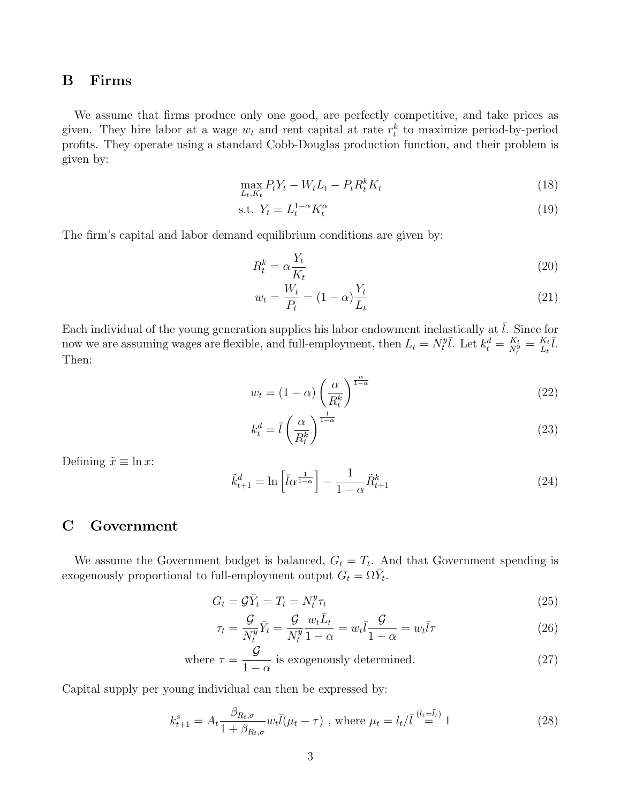## B Firms

We assume that firms produce only one good, are perfectly competitive, and take prices as given. They hire labor at a wage  $w_t$  and rent capital at rate  $r_t^k$  to maximize period-by-period profits. They operate using a standard Cobb-Douglas production function, and their problem is given by:

$$
\max_{L_t, K_t} P_t Y_t - W_t L_t - P_t R_t^k K_t \tag{18}
$$

$$
s.t. Y_t = L_t^{1-\alpha} K_t^{\alpha} \tag{19}
$$

The firm's capital and labor demand equilibrium conditions are given by:

$$
R_t^k = \alpha \frac{Y_t}{K_t} \tag{20}
$$

$$
w_t = \frac{W_t}{P_t} = (1 - \alpha) \frac{Y_t}{L_t}
$$
\n(21)

Each individual of the young generation supplies his labor endowment inelastically at  $\overline{l}$ . Since for now we are assuming wages are flexible, and full-employment, then  $L_t = N_t^y$  $t^y \overline{l}$ . Let  $k_t^d = \frac{K_t}{N_t^y}$  $\frac{K_t}{N_t^y} = \frac{K_t}{L_t}$  $\frac{K_t}{L_t}\overline{l}$ . Then:

$$
w_t = (1 - \alpha) \left(\frac{\alpha}{R_t^k}\right)^{\frac{\alpha}{1 - \alpha}}
$$
\n(22)

$$
k_t^d = \bar{l} \left(\frac{\alpha}{R_t^k}\right)^{\frac{1}{1-\alpha}}
$$
\n(23)

Defining  $\tilde{x} \equiv \ln x$ :

$$
\tilde{k}_{t+1}^d = \ln\left[\bar{l}\alpha^{\frac{1}{1-\alpha}}\right] - \frac{1}{1-\alpha}\tilde{R}_{t+1}^k
$$
\n(24)

## C Government

We assume the Government budget is balanced,  $G_t = T_t$ . And that Government spending is exogenously proportional to full-employment output  $G_t = \Omega \bar{Y}_t$ .

$$
G_t = \mathcal{G}\bar{Y}_t = T_t = N_t^y \tau_t \tag{25}
$$

$$
\tau_t = \frac{\mathcal{G}}{N_t^y} \bar{Y}_t = \frac{\mathcal{G}}{N_t^y} \frac{w_t \bar{L}_t}{1 - \alpha} = w_t \bar{l} \frac{\mathcal{G}}{1 - \alpha} = w_t \bar{l} \tau \tag{26}
$$

where 
$$
\tau = \frac{\mathcal{G}}{1 - \alpha}
$$
 is exogenously determined. (27)

Capital supply per young individual can then be expressed by:

$$
k_{t+1}^{s} = A_{t} \frac{\beta_{R_{t},\sigma}}{1 + \beta_{R_{t},\sigma}} w_{t} \bar{l}(\mu_{t} - \tau) \text{ , where } \mu_{t} = l_{t}/\bar{l} \stackrel{(l_{t} = \bar{l}_{t})}{=} 1 \tag{28}
$$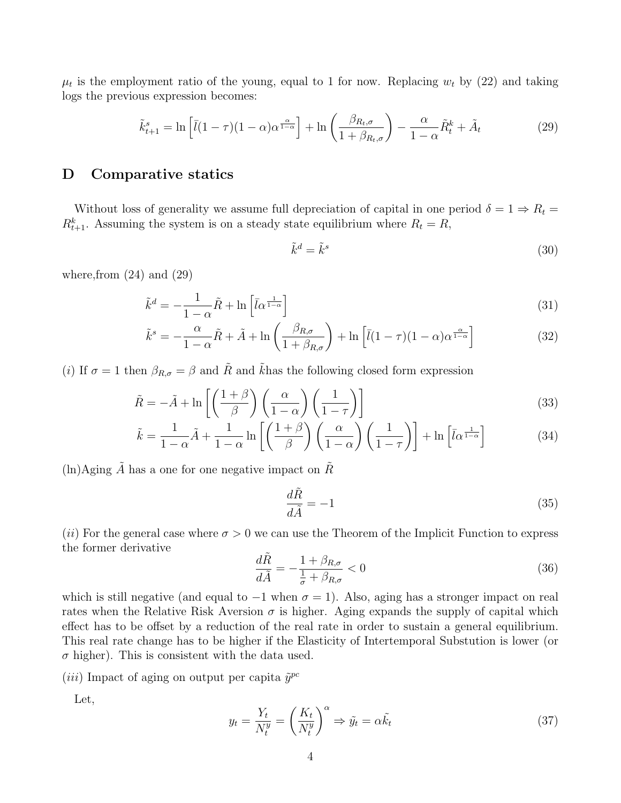$\mu_t$  is the employment ratio of the young, equal to 1 for now. Replacing  $w_t$  by (22) and taking logs the previous expression becomes:

$$
\tilde{k}_{t+1}^s = \ln \left[ \bar{l} (1 - \tau) (1 - \alpha) \alpha^{\frac{\alpha}{1 - \alpha}} \right] + \ln \left( \frac{\beta_{R_t, \sigma}}{1 + \beta_{R_t, \sigma}} \right) - \frac{\alpha}{1 - \alpha} \tilde{R}_t^k + \tilde{A}_t \tag{29}
$$

## D Comparative statics

Without loss of generality we assume full depreciation of capital in one period  $\delta = 1 \Rightarrow R_t =$  $R_{t+1}^k$ . Assuming the system is on a steady state equilibrium where  $R_t = R$ ,

$$
\tilde{k}^d = \tilde{k}^s \tag{30}
$$

where, from  $(24)$  and  $(29)$ 

$$
\tilde{k}^d = -\frac{1}{1-\alpha}\tilde{R} + \ln\left[\bar{l}\alpha^{\frac{1}{1-\alpha}}\right]
$$
\n(31)

$$
\tilde{k}^{s} = -\frac{\alpha}{1-\alpha}\tilde{R} + \tilde{A} + \ln\left(\frac{\beta_{R,\sigma}}{1+\beta_{R,\sigma}}\right) + \ln\left[\bar{l}(1-\tau)(1-\alpha)\alpha^{\frac{\alpha}{1-\alpha}}\right]
$$
(32)

(i) If  $\sigma = 1$  then  $\beta_{R,\sigma} = \beta$  and  $\tilde{R}$  and  $\tilde{k}$ has the following closed form expression

$$
\tilde{R} = -\tilde{A} + \ln\left[\left(\frac{1+\beta}{\beta}\right)\left(\frac{\alpha}{1-\alpha}\right)\left(\frac{1}{1-\tau}\right)\right]
$$
\n(33)

$$
\tilde{k} = \frac{1}{1 - \alpha}\tilde{A} + \frac{1}{1 - \alpha}\ln\left[\left(\frac{1 + \beta}{\beta}\right)\left(\frac{\alpha}{1 - \alpha}\right)\left(\frac{1}{1 - \tau}\right)\right] + \ln\left[\bar{l}\alpha^{\frac{1}{1 - \alpha}}\right]
$$
(34)

(ln)Aging  $\tilde{A}$  has a one for one negative impact on  $\tilde{R}$ 

$$
\frac{d\tilde{R}}{d\tilde{A}} = -1\tag{35}
$$

(ii) For the general case where  $\sigma > 0$  we can use the Theorem of the Implicit Function to express the former derivative  $\approx$ 

$$
\frac{dR}{d\tilde{A}} = -\frac{1 + \beta_{R,\sigma}}{\frac{1}{\sigma} + \beta_{R,\sigma}} < 0 \tag{36}
$$

which is still negative (and equal to  $-1$  when  $\sigma = 1$ ). Also, aging has a stronger impact on real rates when the Relative Risk Aversion  $\sigma$  is higher. Aging expands the supply of capital which effect has to be offset by a reduction of the real rate in order to sustain a general equilibrium. This real rate change has to be higher if the Elasticity of Intertemporal Substution is lower (or  $\sigma$  higher). This is consistent with the data used.

(*iii*) Impact of aging on output per capita  $\tilde{y}^{pc}$ 

Let,

$$
y_t = \frac{Y_t}{N_t^y} = \left(\frac{K_t}{N_t^y}\right)^\alpha \Rightarrow \tilde{y}_t = \alpha \tilde{k}_t \tag{37}
$$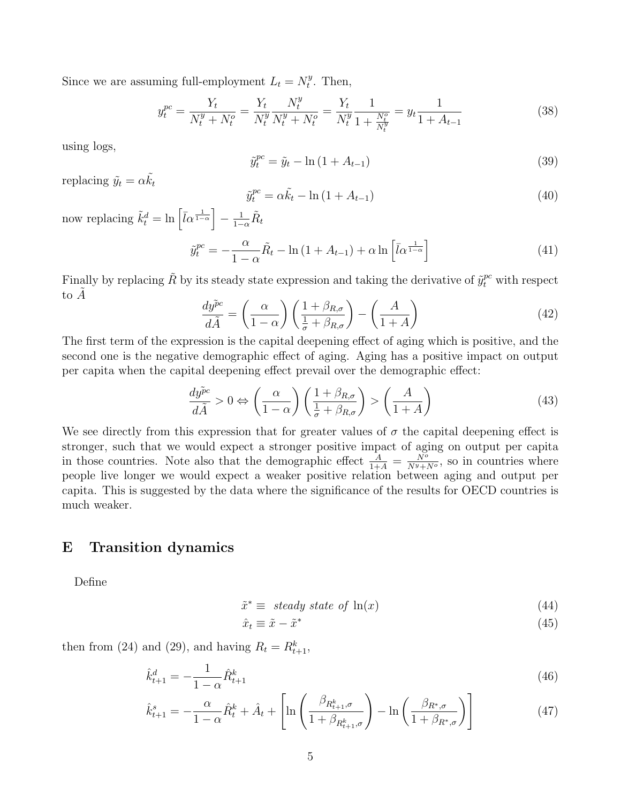Since we are assuming full-employment  $L_t = N_t^y$  $t^y$ . Then,

$$
y_t^{pc} = \frac{Y_t}{N_t^y + N_t^o} = \frac{Y_t}{N_t^y} \frac{N_t^y}{N_t^y + N_t^o} = \frac{Y_t}{N_t^y} \frac{1}{1 + \frac{N_t^o}{N_t^y}} = y_t \frac{1}{1 + A_{t-1}}
$$
(38)

using logs,

$$
\tilde{y}_t^{pc} = \tilde{y}_t - \ln(1 + A_{t-1})
$$
\n(39)

replacing  $\tilde{y}_t = \alpha \tilde{k_t}$ 

$$
\tilde{y}_t^{pc} = \alpha \tilde{k}_t - \ln\left(1 + A_{t-1}\right) \tag{40}
$$

now replacing  $\tilde{k}_t^d = \ln \left| \bar{l} \alpha^{\frac{1}{1-\alpha}} \right| - \frac{1}{1-\alpha} \tilde{R}_t$ 

$$
\tilde{y}_t^{pc} = -\frac{\alpha}{1-\alpha}\tilde{R}_t - \ln\left(1 + A_{t-1}\right) + \alpha \ln\left[\bar{l}\alpha^{\frac{1}{1-\alpha}}\right]
$$
\n(41)

Finally by replacing  $\tilde{R}$  by its steady state expression and taking the derivative of  $\tilde{y}_t^{pc}$  with respect to  $A$ 

$$
\frac{d\tilde{y}^{pc}}{d\tilde{A}} = \left(\frac{\alpha}{1-\alpha}\right) \left(\frac{1+\beta_{R,\sigma}}{\frac{1}{\sigma}+\beta_{R,\sigma}}\right) - \left(\frac{A}{1+A}\right)
$$
(42)

The first term of the expression is the capital deepening effect of aging which is positive, and the second one is the negative demographic effect of aging. Aging has a positive impact on output per capita when the capital deepening effect prevail over the demographic effect:

$$
\frac{dy^{\tilde{p}c}}{d\tilde{A}} > 0 \Leftrightarrow \left(\frac{\alpha}{1-\alpha}\right) \left(\frac{1+\beta_{R,\sigma}}{\frac{1}{\sigma}+\beta_{R,\sigma}}\right) > \left(\frac{A}{1+A}\right)
$$
\n(43)

We see directly from this expression that for greater values of  $\sigma$  the capital deepening effect is stronger, such that we would expect a stronger positive impact of aging on output per capita in those countries. Note also that the demographic effect  $\frac{A}{1+A} = \frac{N^o}{N^g+1}$  $\frac{N^{\sigma}}{N^y+N^{\sigma}}$ , so in countries where people live longer we would expect a weaker positive relation between aging and output per capita. This is suggested by the data where the significance of the results for OECD countries is much weaker.

#### E Transition dynamics

Define

$$
\tilde{x}^* \equiv \text{steady state of } \ln(x) \tag{44}
$$

$$
\hat{x}_t \equiv \tilde{x} - \tilde{x}^* \tag{45}
$$

then from (24) and (29), and having  $R_t = R_{t+1}^k$ ,

$$
\hat{k}_{t+1}^d = -\frac{1}{1-\alpha} \hat{R}_{t+1}^k \tag{46}
$$

$$
\hat{k}_{t+1}^s = -\frac{\alpha}{1-\alpha}\hat{R}_t^k + \hat{A}_t + \left[ \ln \left( \frac{\beta_{R_{t+1}^k, \sigma}}{1 + \beta_{R_{t+1}^k, \sigma}} \right) - \ln \left( \frac{\beta_{R^*, \sigma}}{1 + \beta_{R^*, \sigma}} \right) \right]
$$
(47)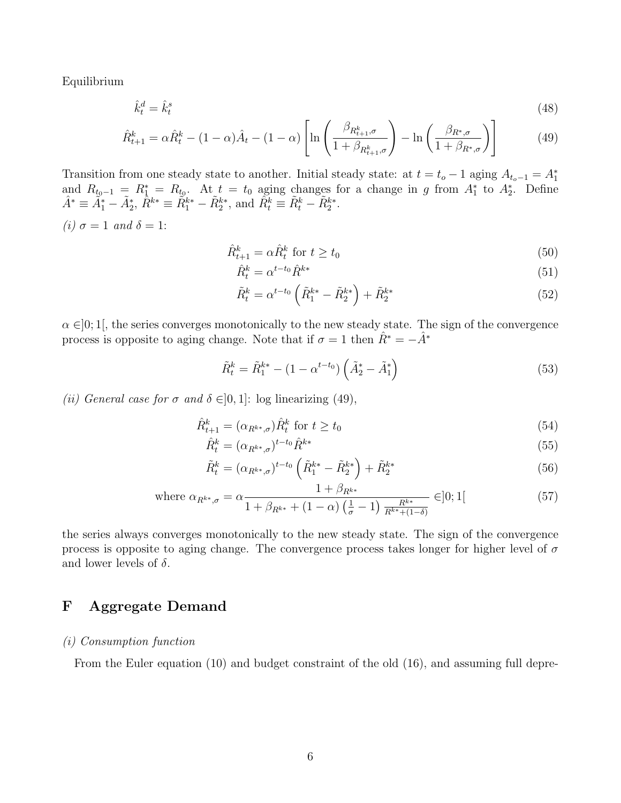Equilibrium

$$
\hat{k}_t^d = \hat{k}_t^s \tag{48}
$$

$$
\hat{R}_{t+1}^{k} = \alpha \hat{R}_{t}^{k} - (1 - \alpha) \hat{A}_{t} - (1 - \alpha) \left[ \ln \left( \frac{\beta_{R_{t+1}^{k}, \sigma}}{1 + \beta_{R_{t+1}^{k}, \sigma}} \right) - \ln \left( \frac{\beta_{R^{*}, \sigma}}{1 + \beta_{R^{*}, \sigma}} \right) \right]
$$
(49)

Transition from one steady state to another. Initial steady state: at  $t = t_o - 1$  aging  $A_{t_o-1} = A_1^*$ and  $R_{t_0-1} = R_1^* = R_{t_0}$ . At  $t = t_0$  aging changes for a change in g from  $A_1^*$  to  $A_2^*$ . Define  $\hat{A}^* \equiv \tilde{A}_1^* - \tilde{A}_2^*, \ \hat{R}^{k*} \equiv \tilde{R}_1^{k*} - \tilde{R}_2^{k*}, \text{ and } \ \tilde{R}_t^k \equiv \tilde{R}_t^k - \tilde{R}_2^{k*}.$ 

(i)  $\sigma = 1$  and  $\delta = 1$ :

$$
\hat{R}_{t+1}^k = \alpha \hat{R}_t^k \text{ for } t \ge t_0 \tag{50}
$$

$$
\hat{R}_t^k = \alpha^{t-t_0} \hat{R}^{k*} \tag{51}
$$

$$
\tilde{R}_t^k = \alpha^{t-t_0} \left( \tilde{R}_1^{k*} - \tilde{R}_2^{k*} \right) + \tilde{R}_2^{k*} \tag{52}
$$

 $\alpha \in ]0;1[$ , the series converges monotonically to the new steady state. The sign of the convergence process is opposite to aging change. Note that if  $\sigma = 1$  then  $\hat{R}^* = -\hat{A}^*$ 

$$
\tilde{R}_t^k = \tilde{R}_1^{k*} - (1 - \alpha^{t-t_0}) \left( \tilde{A}_2^* - \tilde{A}_1^* \right)
$$
\n(53)

(ii) General case for  $\sigma$  and  $\delta \in ]0,1]$ : log linearizing (49),

$$
\hat{R}_{t+1}^k = (\alpha_{R^{k*},\sigma})\hat{R}_t^k \text{ for } t \ge t_0 \tag{54}
$$

$$
\hat{R}_t^k = (\alpha_{R^{k*}, \sigma})^{t-t_0} \hat{R}^{k*}
$$
\n(55)

$$
\tilde{R}_t^k = (\alpha_{R^{k*}, \sigma})^{t-t_0} \left( \tilde{R}_1^{k*} - \tilde{R}_2^{k*} \right) + \tilde{R}_2^{k*}
$$
\n(56)

where 
$$
\alpha_{R^{k*},\sigma} = \alpha \frac{1 + \beta_{R^{k*}}}{1 + \beta_{R^{k*}} + (1 - \alpha) \left(\frac{1}{\sigma} - 1\right) \frac{R^{k*}}{R^{k*} + (1 - \delta)}} \in ]0;1[
$$
 (57)

the series always converges monotonically to the new steady state. The sign of the convergence process is opposite to aging change. The convergence process takes longer for higher level of  $\sigma$ and lower levels of  $\delta$ .

## F Aggregate Demand

#### (i) Consumption function

From the Euler equation (10) and budget constraint of the old (16), and assuming full depre-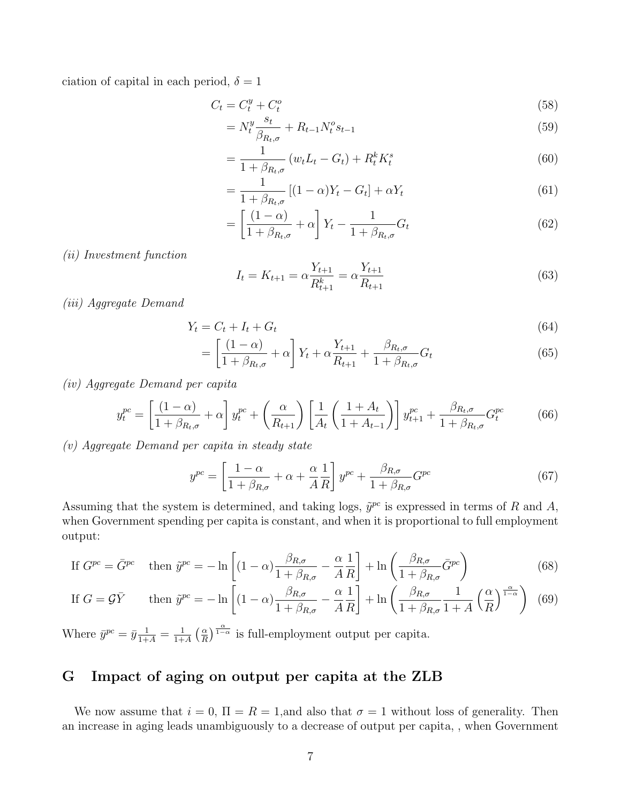ciation of capital in each period,  $\delta = 1$ 

$$
C_t = C_t^y + C_t^o \tag{58}
$$

$$
= N_t^y \frac{s_t}{\beta_{R_t, \sigma}} + R_{t-1} N_t^o s_{t-1}
$$
\n(59)

$$
= \frac{1}{1 + \beta_{R_t, \sigma}} \left( w_t L_t - G_t \right) + R_t^k K_t^s \tag{60}
$$

$$
=\frac{1}{1+\beta_{R_t,\sigma}}\left[(1-\alpha)Y_t - G_t\right] + \alpha Y_t\tag{61}
$$

$$
= \left[\frac{(1-\alpha)}{1+\beta_{R_t,\sigma}} + \alpha\right]Y_t - \frac{1}{1+\beta_{R_t,\sigma}}G_t
$$
\n(62)

(ii) Investment function

$$
I_t = K_{t+1} = \alpha \frac{Y_{t+1}}{R_{t+1}^k} = \alpha \frac{Y_{t+1}}{R_{t+1}}
$$
\n(63)

(iii) Aggregate Demand

$$
Y_t = C_t + I_t + G_t \tag{64}
$$

$$
= \left[\frac{(1-\alpha)}{1+\beta_{R_t,\sigma}} + \alpha\right]Y_t + \alpha \frac{Y_{t+1}}{R_{t+1}} + \frac{\beta_{R_t,\sigma}}{1+\beta_{R_t,\sigma}}G_t
$$
\n
$$
(65)
$$

(iv) Aggregate Demand per capita

$$
y_t^{pc} = \left[\frac{(1-\alpha)}{1+\beta_{R_t,\sigma}} + \alpha\right] y_t^{pc} + \left(\frac{\alpha}{R_{t+1}}\right) \left[\frac{1}{A_t} \left(\frac{1+A_t}{1+A_{t-1}}\right)\right] y_{t+1}^{pc} + \frac{\beta_{R_t,\sigma}}{1+\beta_{R_t,\sigma}} G_t^{pc} \tag{66}
$$

(v) Aggregate Demand per capita in steady state

$$
y^{pc} = \left[\frac{1-\alpha}{1+\beta_{R,\sigma}} + \alpha + \frac{\alpha}{A}\frac{1}{R}\right]y^{pc} + \frac{\beta_{R,\sigma}}{1+\beta_{R,\sigma}}G^{pc}
$$
(67)

Assuming that the system is determined, and taking logs,  $\tilde{y}^{pc}$  is expressed in terms of R and A, when Government spending per capita is constant, and when it is proportional to full employment output:

If 
$$
G^{pc} = \bar{G}^{pc}
$$
 then  $\tilde{y}^{pc} = -\ln\left[ (1-\alpha) \frac{\beta_{R,\sigma}}{1+\beta_{R,\sigma}} - \frac{\alpha}{A} \frac{1}{R} \right] + \ln\left( \frac{\beta_{R,\sigma}}{1+\beta_{R,\sigma}} \bar{G}^{pc} \right)$  (68)

If 
$$
G = \mathcal{G}\bar{Y}
$$
 then  $\tilde{y}^{pc} = -\ln\left[ (1-\alpha)\frac{\beta_{R,\sigma}}{1+\beta_{R,\sigma}} - \frac{\alpha}{A}\frac{1}{R} \right] + \ln\left( \frac{\beta_{R,\sigma}}{1+\beta_{R,\sigma}}\frac{1}{1+A} \left( \frac{\alpha}{R} \right)^{\frac{\alpha}{1-\alpha}} \right)$  (69)

Where  $\bar{y}^{pc} = \bar{y} \frac{1}{1+A} = \frac{1}{1+A}$  $\frac{1}{1+A}$   $\left(\frac{\alpha}{R}\right)$  $\frac{\alpha}{R}$ )  $\frac{\alpha}{1-\alpha}$  is full-employment output per capita.

## G Impact of aging on output per capita at the ZLB

We now assume that  $i = 0$ ,  $\Pi = R = 1$ , and also that  $\sigma = 1$  without loss of generality. Then an increase in aging leads unambiguously to a decrease of output per capita, , when Government